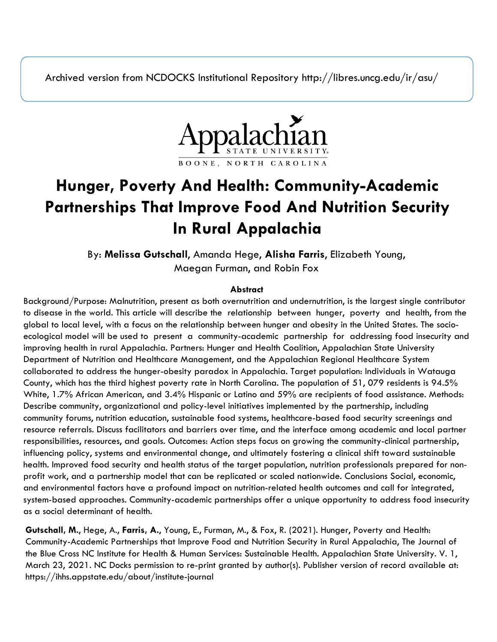Archived version from NCDOCKS Institutional Repository http://libres.uncg.edu/ir/asu/



# **Hunger, Poverty And Health: Community-Academic Partnerships That Improve Food And Nutrition Security In Rural Appalachia**

By: **Melissa Gutschall**, Amanda Hege, **Alisha Farris**, Elizabeth Young, Maegan Furman, and Robin Fox

#### **Abstract**

Background/Purpose: Malnutrition, present as both overnutrition and undernutrition, is the largest single contributor to disease in the world. This article will describe the relationship between hunger, poverty and health, from the global to local level, with a focus on the relationship between hunger and obesity in the United States. The socioecological model will be used to present a community-academic partnership for addressing food insecurity and improving health in rural Appalachia. Partners: Hunger and Health Coalition, Appalachian State University Department of Nutrition and Healthcare Management, and the Appalachian Regional Healthcare System collaborated to address the hunger-obesity paradox in Appalachia. Target population: Individuals in Watauga County, which has the third highest poverty rate in North Carolina. The population of 51, 079 residents is 94.5% White, 1.7% African American, and 3.4% Hispanic or Latino and 59% are recipients of food assistance. Methods: Describe community, organizational and policy-level initiatives implemented by the partnership, including community forums, nutrition education, sustainable food systems, healthcare-based food security screenings and resource referrals. Discuss facilitators and barriers over time, and the interface among academic and local partner responsibilities, resources, and goals. Outcomes: Action steps focus on growing the community-clinical partnership, influencing policy, systems and environmental change, and ultimately fostering a clinical shift toward sustainable health. Improved food security and health status of the target population, nutrition professionals prepared for nonprofit work, and a partnership model that can be replicated or scaled nationwide. Conclusions Social, economic, and environmental factors have a profound impact on nutrition-related health outcomes and call for integrated, system-based approaches. Community-academic partnerships offer a unique opportunity to address food insecurity as a social determinant of health.

**Gutschall, M.**, Hege, A., **Farris, A.**, Young, E., Furman, M., & Fox, R. (2021). Hunger, Poverty and Health: Community-Academic Partnerships that Improve Food and Nutrition Security in Rural Appalachia, The Journal of the Blue Cross NC Institute for Health & Human Services: Sustainable Health. Appalachian State University. V. 1, March 23, 2021. NC Docks permission to re-print granted by author(s). Publisher version of record available at: https://ihhs.appstate.edu/about/institute-journal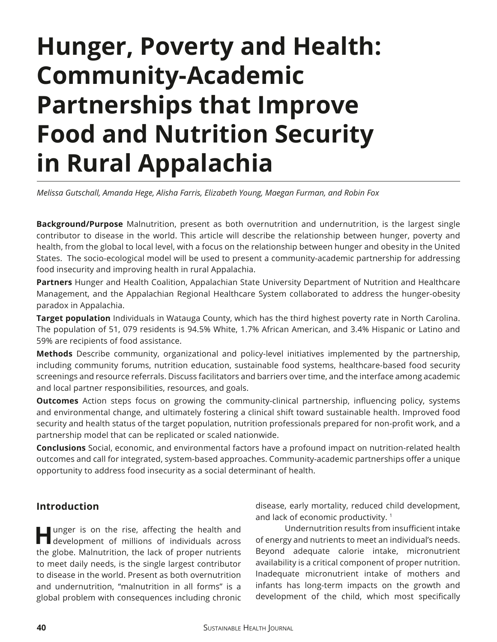# **Hunger, Poverty and Health: Community-Academic Partnerships that Improve Food and Nutrition Security in Rural Appalachia**

*Melissa Gutschall, Amanda Hege, Alisha Farris, Elizabeth Young, Maegan Furman, and Robin Fox*

**Background/Purpose** Malnutrition, present as both overnutrition and undernutrition, is the largest single contributor to disease in the world. This article will describe the relationship between hunger, poverty and health, from the global to local level, with a focus on the relationship between hunger and obesity in the United States. The socio-ecological model will be used to present a community-academic partnership for addressing food insecurity and improving health in rural Appalachia.

**Partners** Hunger and Health Coalition, Appalachian State University Department of Nutrition and Healthcare Management, and the Appalachian Regional Healthcare System collaborated to address the hunger-obesity paradox in Appalachia.

**Target population** Individuals in Watauga County, which has the third highest poverty rate in North Carolina. The population of 51, 079 residents is 94.5% White, 1.7% African American, and 3.4% Hispanic or Latino and 59% are recipients of food assistance.

**Methods** Describe community, organizational and policy-level initiatives implemented by the partnership, including community forums, nutrition education, sustainable food systems, healthcare-based food security screenings and resource referrals. Discuss facilitators and barriers over time, and the interface among academic and local partner responsibilities, resources, and goals.

**Outcomes** Action steps focus on growing the community-clinical partnership, infuencing policy, systems and environmental change, and ultimately fostering a clinical shift toward sustainable health. Improved food security and health status of the target population, nutrition professionals prepared for non-proft work, and a partnership model that can be replicated or scaled nationwide.

**Conclusions** Social, economic, and environmental factors have a profound impact on nutrition-related health outcomes and call for integrated, system-based approaches. Community-academic partnerships offer a unique opportunity to address food insecurity as a social determinant of health.

# **Introduction**

**H**unger is on the rise, afecting the health and development of millions of individuals across the globe. Malnutrition, the lack of proper nutrients to meet daily needs, is the single largest contributor to disease in the world. Present as both overnutrition and undernutrition, "malnutrition in all forms" is a global problem with consequences including chronic disease, early mortality, reduced child development, and lack of economic productivity.<sup>1</sup>

Undernutrition results from insufficient intake of energy and nutrients to meet an individual's needs. Beyond adequate calorie intake, micronutrient availability is a critical component of proper nutrition. Inadequate micronutrient intake of mothers and infants has long-term impacts on the growth and development of the child, which most specifically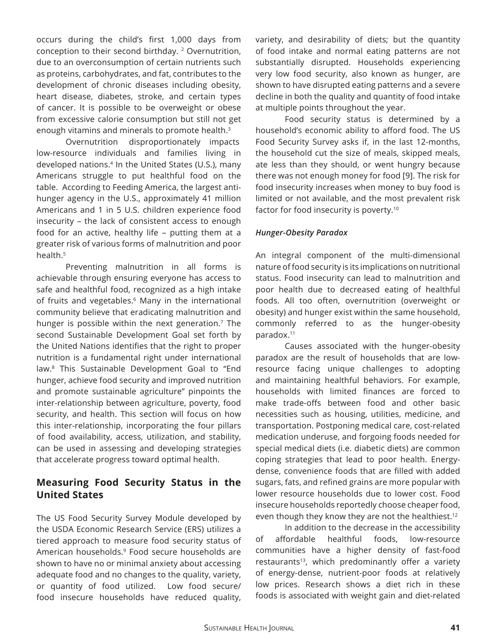occurs during the child's frst 1,000 days from conception to their second birthday. 2 Overnutrition, due to an overconsumption of certain nutrients such as proteins, carbohydrates, and fat, contributes to the development of chronic diseases including obesity, heart disease, diabetes, stroke, and certain types of cancer. It is possible to be overweight or obese from excessive calorie consumption but still not get enough vitamins and minerals to promote health.<sup>3</sup>

 Overnutrition disproportionately impacts low-resource individuals and families living in developed nations.<sup>4</sup> In the United States (U.S.), many Americans struggle to put healthful food on the table. According to Feeding America, the largest antihunger agency in the U.S., approximately 41 million Americans and 1 in 5 U.S. children experience food insecurity – the lack of consistent access to enough food for an active, healthy life – putting them at a greater risk of various forms of malnutrition and poor health.<sup>5</sup>

Preventing malnutrition in all forms is achievable through ensuring everyone has access to safe and healthful food, recognized as a high intake of fruits and vegetables.<sup>6</sup> Many in the international community believe that eradicating malnutrition and hunger is possible within the next generation.<sup>7</sup> The second Sustainable Development Goal set forth by the United Nations identifes that the right to proper nutrition is a fundamental right under international law.8 This Sustainable Development Goal to "End hunger, achieve food security and improved nutrition and promote sustainable agriculture" pinpoints the inter-relationship between agriculture, poverty, food security, and health. This section will focus on how this inter-relationship, incorporating the four pillars of food availability, access, utilization, and stability, can be used in assessing and developing strategies that accelerate progress toward optimal health.

# **Measuring Food Security Status in the United States**

The US Food Security Survey Module developed by the USDA Economic Research Service (ERS) utilizes a tiered approach to measure food security status of American households.<sup>9</sup> Food secure households are shown to have no or minimal anxiety about accessing adequate food and no changes to the quality, variety, or quantity of food utilized. Low food secure/ food insecure households have reduced quality, variety, and desirability of diets; but the quantity of food intake and normal eating patterns are not substantially disrupted. Households experiencing very low food security, also known as hunger, are shown to have disrupted eating patterns and a severe decline in both the quality and quantity of food intake at multiple points throughout the year.

Food security status is determined by a household's economic ability to afford food. The US Food Security Survey asks if, in the last 12-months, the household cut the size of meals, skipped meals, ate less than they should, or went hungry because there was not enough money for food [9]. The risk for food insecurity increases when money to buy food is limited or not available, and the most prevalent risk factor for food insecurity is poverty.10

#### *Hunger-Obesity Paradox*

An integral component of the multi-dimensional nature of food security is its implications on nutritional status. Food insecurity can lead to malnutrition and poor health due to decreased eating of healthful foods. All too often, overnutrition (overweight or obesity) and hunger exist within the same household, commonly referred to as the hunger-obesity paradox.11

Causes associated with the hunger-obesity paradox are the result of households that are lowresource facing unique challenges to adopting and maintaining healthful behaviors. For example, households with limited fnances are forced to make trade-ofs between food and other basic necessities such as housing, utilities, medicine, and transportation. Postponing medical care, cost-related medication underuse, and forgoing foods needed for special medical diets (i.e. diabetic diets) are common coping strategies that lead to poor health. Energydense, convenience foods that are flled with added sugars, fats, and refned grains are more popular with lower resource households due to lower cost. Food insecure households reportedly choose cheaper food, even though they know they are not the healthiest.12

In addition to the decrease in the accessibility of affordable healthful foods, low-resource communities have a higher density of fast-food restaurants<sup>13</sup>, which predominantly offer a variety of energy-dense, nutrient-poor foods at relatively low prices. Research shows a diet rich in these foods is associated with weight gain and diet-related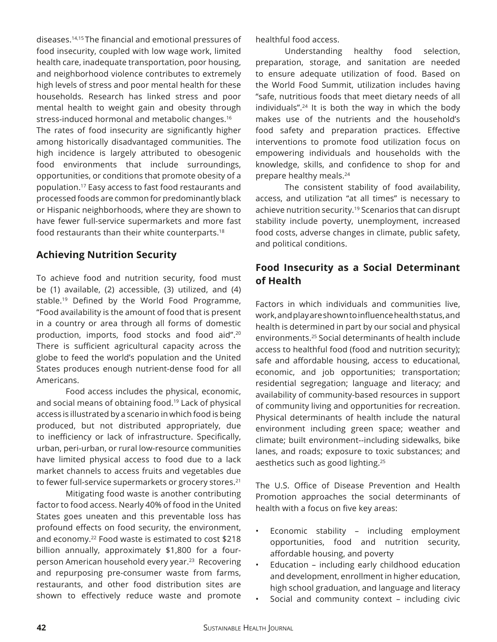diseases.14,15 The fnancial and emotional pressures of food insecurity, coupled with low wage work, limited health care, inadequate transportation, poor housing, and neighborhood violence contributes to extremely high levels of stress and poor mental health for these households. Research has linked stress and poor mental health to weight gain and obesity through stress-induced hormonal and metabolic changes.<sup>16</sup>

The rates of food insecurity are significantly higher among historically disadvantaged communities. The high incidence is largely attributed to obesogenic food environments that include surroundings, opportunities, or conditions that promote obesity of a population.17 Easy access to fast food restaurants and processed foods are common for predominantly black or Hispanic neighborhoods, where they are shown to have fewer full-service supermarkets and more fast food restaurants than their white counterparts.<sup>18</sup>

#### **Achieving Nutrition Security**

To achieve food and nutrition security, food must be (1) available, (2) accessible, (3) utilized, and (4) stable.<sup>19</sup> Defined by the World Food Programme, "Food availability is the amount of food that is present in a country or area through all forms of domestic production, imports, food stocks and food aid".20 There is sufficient agricultural capacity across the globe to feed the world's population and the United States produces enough nutrient-dense food for all Americans.

Food access includes the physical, economic, and social means of obtaining food.<sup>19</sup> Lack of physical access is illustrated by a scenario in which food is being produced, but not distributed appropriately, due to inefficiency or lack of infrastructure. Specifically, urban, peri-urban, or rural low-resource communities have limited physical access to food due to a lack market channels to access fruits and vegetables due to fewer full-service supermarkets or grocery stores.<sup>21</sup>

Mitigating food waste is another contributing factor to food access. Nearly 40% of food in the United States goes uneaten and this preventable loss has profound efects on food security, the environment, and economy.<sup>22</sup> Food waste is estimated to cost \$218 billion annually, approximately \$1,800 for a fourperson American household every year.<sup>23</sup> Recovering and repurposing pre-consumer waste from farms, restaurants, and other food distribution sites are shown to efectively reduce waste and promote healthful food access.

Understanding healthy food selection, preparation, storage, and sanitation are needed to ensure adequate utilization of food. Based on the World Food Summit, utilization includes having "safe, nutritious foods that meet dietary needs of all individuals".24 It is both the way in which the body makes use of the nutrients and the household's food safety and preparation practices. Efective interventions to promote food utilization focus on empowering individuals and households with the knowledge, skills, and confdence to shop for and prepare healthy meals.24

The consistent stability of food availability, access, and utilization "at all times" is necessary to achieve nutrition security.<sup>19</sup> Scenarios that can disrupt stability include poverty, unemployment, increased food costs, adverse changes in climate, public safety, and political conditions.

# **Food Insecurity as a Social Determinant of Health**

Factors in which individuals and communities live, work,andplayareshowntoinfuencehealthstatus,and health is determined in part by our social and physical environments.25 Social determinants of health include access to healthful food (food and nutrition security); safe and affordable housing, access to educational, economic, and job opportunities; transportation; residential segregation; language and literacy; and availability of community-based resources in support of community living and opportunities for recreation. Physical determinants of health include the natural environment including green space; weather and climate; built environment--including sidewalks, bike lanes, and roads; exposure to toxic substances; and aesthetics such as good lighting.25

The U.S. Office of Disease Prevention and Health Promotion approaches the social determinants of health with a focus on five key areas:

- Economic stability including employment opportunities, food and nutrition security, affordable housing, and poverty
- Education including early childhood education and development, enrollment in higher education, high school graduation, and language and literacy
- Social and community context including civic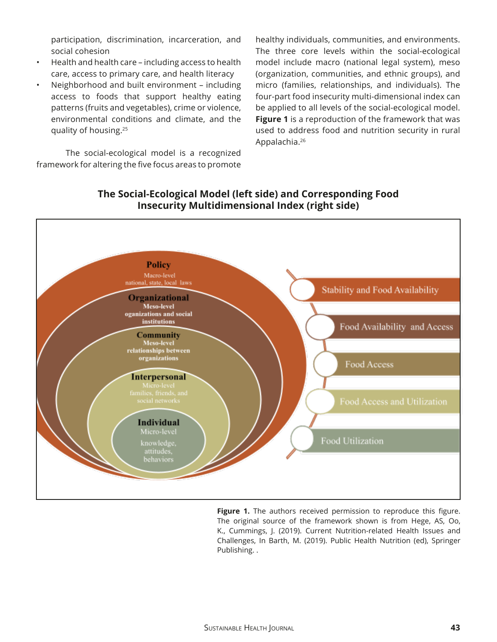participation, discrimination, incarceration, and social cohesion

- Health and health care including access to health care, access to primary care, and health literacy
- Neighborhood and built environment including access to foods that support healthy eating patterns (fruits and vegetables), crime or violence, environmental conditions and climate, and the quality of housing.25

The social-ecological model is a recognized framework for altering the five focus areas to promote

healthy individuals, communities, and environments. The three core levels within the social-ecological model include macro (national legal system), meso (organization, communities, and ethnic groups), and micro (families, relationships, and individuals). The four-part food insecurity multi-dimensional index can be applied to all levels of the social-ecological model. **Figure 1** is a reproduction of the framework that was used to address food and nutrition security in rural Appalachia.26



### **The Social-Ecological Model (left side) and Corresponding Food Insecurity Multidimensional Index (right side)**

**Figure 1.** The authors received permission to reproduce this figure. The original source of the framework shown is from Hege, AS, Oo, K., Cummings, J. (2019). Current Nutrition-related Health Issues and Challenges, In Barth, M. (2019). Public Health Nutrition (ed), Springer Publishing. .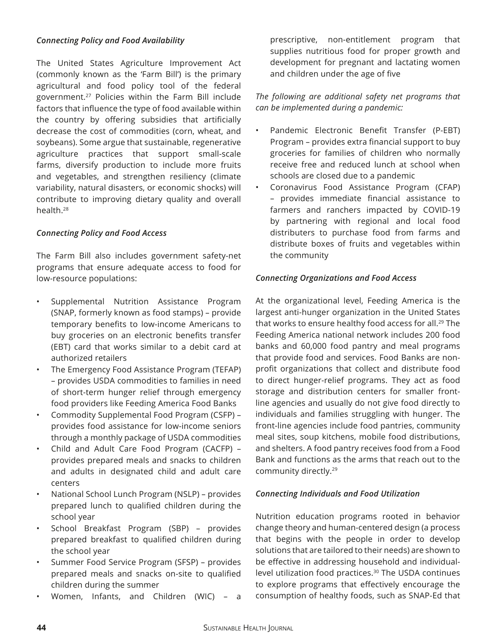#### *Connecting Policy and Food Availability*

The United States Agriculture Improvement Act (commonly known as the 'Farm Bill') is the primary agricultural and food policy tool of the federal government.27 Policies within the Farm Bill include factors that infuence the type of food available within the country by offering subsidies that artificially decrease the cost of commodities (corn, wheat, and soybeans). Some argue that sustainable, regenerative agriculture practices that support small-scale farms, diversify production to include more fruits and vegetables, and strengthen resiliency (climate variability, natural disasters, or economic shocks) will contribute to improving dietary quality and overall health.28

#### *Connecting Policy and Food Access*

The Farm Bill also includes government safety-net programs that ensure adequate access to food for low-resource populations:

- Supplemental Nutrition Assistance Program (SNAP, formerly known as food stamps) – provide temporary benefits to low-income Americans to buy groceries on an electronic benefits transfer (EBT) card that works similar to a debit card at authorized retailers
- The Emergency Food Assistance Program (TEFAP) – provides USDA commodities to families in need of short-term hunger relief through emergency food providers like Feeding America Food Banks
- Commodity Supplemental Food Program (CSFP) provides food assistance for low-income seniors through a monthly package of USDA commodities
- Child and Adult Care Food Program (CACFP) provides prepared meals and snacks to children and adults in designated child and adult care centers
- National School Lunch Program (NSLP) provides prepared lunch to qualifed children during the school year
- School Breakfast Program (SBP) provides prepared breakfast to qualified children during the school year
- Summer Food Service Program (SFSP) provides prepared meals and snacks on-site to qualifed children during the summer
- Women, Infants, and Children (WIC) a

prescriptive, non-entitlement program that supplies nutritious food for proper growth and development for pregnant and lactating women and children under the age of five

#### *The following are additional safety net programs that can be implemented during a pandemic:*

- Pandemic Electronic Benefit Transfer (P-EBT) Program – provides extra fnancial support to buy groceries for families of children who normally receive free and reduced lunch at school when schools are closed due to a pandemic
- Coronavirus Food Assistance Program (CFAP) – provides immediate fnancial assistance to farmers and ranchers impacted by COVID-19 by partnering with regional and local food distributers to purchase food from farms and distribute boxes of fruits and vegetables within the community

#### *Connecting Organizations and Food Access*

At the organizational level, Feeding America is the largest anti-hunger organization in the United States that works to ensure healthy food access for all.<sup>29</sup> The Feeding America national network includes 200 food banks and 60,000 food pantry and meal programs that provide food and services. Food Banks are nonprofit organizations that collect and distribute food to direct hunger-relief programs. They act as food storage and distribution centers for smaller frontline agencies and usually do not give food directly to individuals and families struggling with hunger. The front-line agencies include food pantries, community meal sites, soup kitchens, mobile food distributions, and shelters. A food pantry receives food from a Food Bank and functions as the arms that reach out to the community directly.<sup>29</sup>

#### *Connecting Individuals and Food Utilization*

Nutrition education programs rooted in behavior change theory and human-centered design (a process that begins with the people in order to develop solutions that are tailored to their needs) are shown to be effective in addressing household and individuallevel utilization food practices.<sup>30</sup> The USDA continues to explore programs that efectively encourage the consumption of healthy foods, such as SNAP-Ed that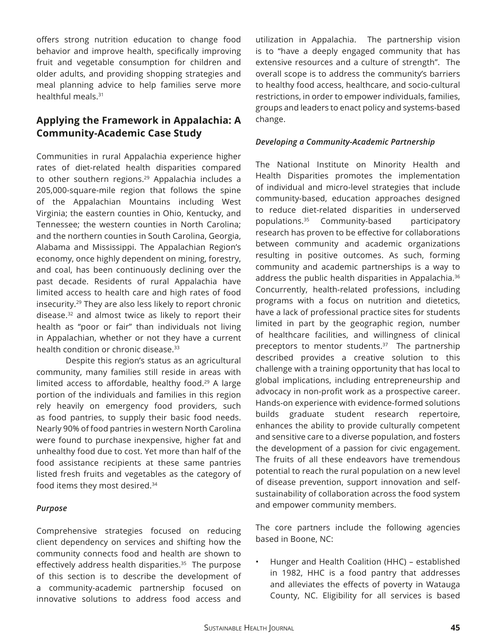offers strong nutrition education to change food behavior and improve health, specifically improving fruit and vegetable consumption for children and older adults, and providing shopping strategies and meal planning advice to help families serve more healthful meals.31

# **Applying the Framework in Appalachia: A Community-Academic Case Study**

Communities in rural Appalachia experience higher rates of diet-related health disparities compared to other southern regions.<sup>29</sup> Appalachia includes a 205,000-square-mile region that follows the spine of the Appalachian Mountains including West Virginia; the eastern counties in Ohio, Kentucky, and Tennessee; the western counties in North Carolina; and the northern counties in South Carolina, Georgia, Alabama and Mississippi. The Appalachian Region's economy, once highly dependent on mining, forestry, and coal, has been continuously declining over the past decade. Residents of rural Appalachia have limited access to health care and high rates of food insecurity.<sup>29</sup> They are also less likely to report chronic disease.32 and almost twice as likely to report their health as "poor or fair" than individuals not living in Appalachian, whether or not they have a current health condition or chronic disease.<sup>33</sup>

Despite this region's status as an agricultural community, many families still reside in areas with limited access to affordable, healthy food. $29$  A large portion of the individuals and families in this region rely heavily on emergency food providers, such as food pantries, to supply their basic food needs. Nearly 90% of food pantries in western North Carolina were found to purchase inexpensive, higher fat and unhealthy food due to cost. Yet more than half of the food assistance recipients at these same pantries listed fresh fruits and vegetables as the category of food items they most desired.<sup>34</sup>

#### *Purpose*

Comprehensive strategies focused on reducing client dependency on services and shifting how the community connects food and health are shown to effectively address health disparities.<sup>35</sup> The purpose of this section is to describe the development of a community-academic partnership focused on innovative solutions to address food access and

utilization in Appalachia. The partnership vision is to "have a deeply engaged community that has extensive resources and a culture of strength". The overall scope is to address the community's barriers to healthy food access, healthcare, and socio-cultural restrictions, in order to empower individuals, families, groups and leaders to enact policy and systems-based change.

#### *Developing a Community-Academic Partnership*

The National Institute on Minority Health and Health Disparities promotes the implementation of individual and micro-level strategies that include community-based, education approaches designed to reduce diet-related disparities in underserved populations.35 Community-based participatory research has proven to be efective for collaborations between community and academic organizations resulting in positive outcomes. As such, forming community and academic partnerships is a way to address the public health disparities in Appalachia.36 Concurrently, health-related professions, including programs with a focus on nutrition and dietetics, have a lack of professional practice sites for students limited in part by the geographic region, number of healthcare facilities, and willingness of clinical preceptors to mentor students.<sup>37</sup> The partnership described provides a creative solution to this challenge with a training opportunity that has local to global implications, including entrepreneurship and advocacy in non-profit work as a prospective career. Hands-on experience with evidence-formed solutions builds graduate student research repertoire, enhances the ability to provide culturally competent and sensitive care to a diverse population, and fosters the development of a passion for civic engagement. The fruits of all these endeavors have tremendous potential to reach the rural population on a new level of disease prevention, support innovation and selfsustainability of collaboration across the food system and empower community members.

The core partners include the following agencies based in Boone, NC:

• Hunger and Health Coalition (HHC) – established in 1982, HHC is a food pantry that addresses and alleviates the effects of poverty in Watauga County, NC. Eligibility for all services is based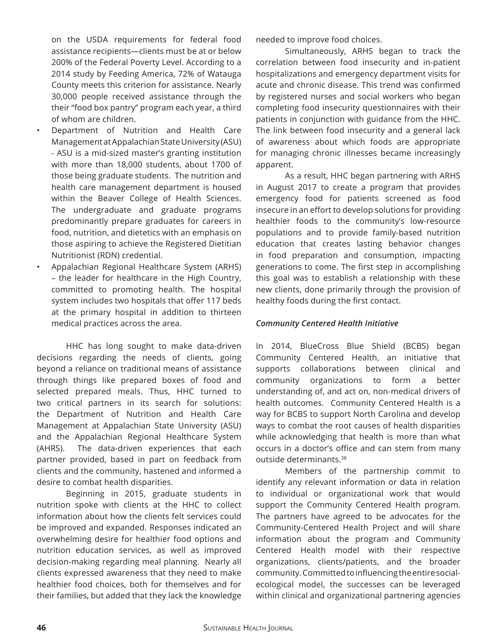on the USDA requirements for federal food assistance recipients—clients must be at or below 200% of the Federal Poverty Level. According to a 2014 study by Feeding America, 72% of Watauga County meets this criterion for assistance. Nearly 30,000 people received assistance through the their "food box pantry" program each year, a third of whom are children.

- Department of Nutrition and Health Care Management at Appalachian State University (ASU) - ASU is a mid-sized master's granting institution with more than 18,000 students, about 1700 of those being graduate students. The nutrition and health care management department is housed within the Beaver College of Health Sciences. The undergraduate and graduate programs predominantly prepare graduates for careers in food, nutrition, and dietetics with an emphasis on those aspiring to achieve the Registered Dietitian Nutritionist (RDN) credential.
- Appalachian Regional Healthcare System (ARHS) – the leader for healthcare in the High Country, committed to promoting health. The hospital system includes two hospitals that offer 117 beds at the primary hospital in addition to thirteen medical practices across the area.

HHC has long sought to make data-driven decisions regarding the needs of clients, going beyond a reliance on traditional means of assistance through things like prepared boxes of food and selected prepared meals. Thus, HHC turned to two critical partners in its search for solutions: the Department of Nutrition and Health Care Management at Appalachian State University (ASU) and the Appalachian Regional Healthcare System (AHRS). The data-driven experiences that each partner provided, based in part on feedback from clients and the community, hastened and informed a desire to combat health disparities.

Beginning in 2015, graduate students in nutrition spoke with clients at the HHC to collect information about how the clients felt services could be improved and expanded. Responses indicated an overwhelming desire for healthier food options and nutrition education services, as well as improved decision-making regarding meal planning. Nearly all clients expressed awareness that they need to make healthier food choices, both for themselves and for their families, but added that they lack the knowledge needed to improve food choices.

Simultaneously, ARHS began to track the correlation between food insecurity and in-patient hospitalizations and emergency department visits for acute and chronic disease. This trend was confrmed by registered nurses and social workers who began completing food insecurity questionnaires with their patients in conjunction with guidance from the HHC. The link between food insecurity and a general lack of awareness about which foods are appropriate for managing chronic illnesses became increasingly apparent.

As a result, HHC began partnering with ARHS in August 2017 to create a program that provides emergency food for patients screened as food insecure in an effort to develop solutions for providing healthier foods to the community's low-resource populations and to provide family-based nutrition education that creates lasting behavior changes in food preparation and consumption, impacting generations to come. The first step in accomplishing this goal was to establish a relationship with these new clients, done primarily through the provision of healthy foods during the first contact.

#### *Community Centered Health Initiative*

In 2014, BlueCross Blue Shield (BCBS) began Community Centered Health, an initiative that supports collaborations between clinical and community organizations to form a better understanding of, and act on, non-medical drivers of health outcomes. Community Centered Health is a way for BCBS to support North Carolina and develop ways to combat the root causes of health disparities while acknowledging that health is more than what occurs in a doctor's office and can stem from many outside determinants.38

Members of the partnership commit to identify any relevant information or data in relation to individual or organizational work that would support the Community Centered Health program. The partners have agreed to be advocates for the Community-Centered Health Project and will share information about the program and Community Centered Health model with their respective organizations, clients/patients, and the broader community.Committedtoinfuencingtheentiresocialecological model, the successes can be leveraged within clinical and organizational partnering agencies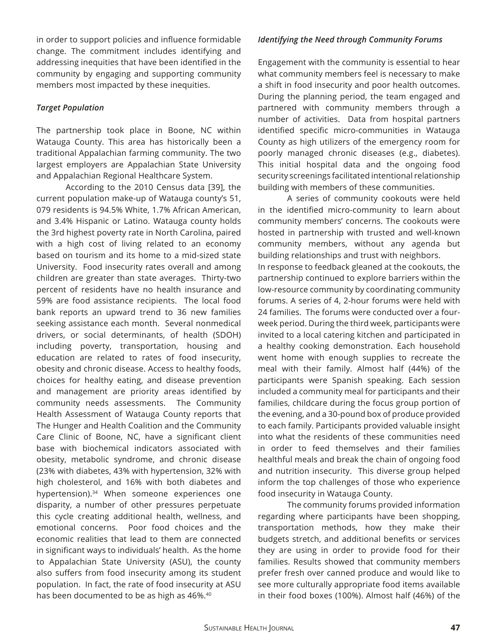in order to support policies and infuence formidable change. The commitment includes identifying and addressing inequities that have been identifed in the community by engaging and supporting community members most impacted by these inequities.

#### *Target Population*

The partnership took place in Boone, NC within Watauga County. This area has historically been a traditional Appalachian farming community. The two largest employers are Appalachian State University and Appalachian Regional Healthcare System.

 According to the 2010 Census data [39], the current population make-up of Watauga county's 51, 079 residents is 94.5% White, 1.7% African American, and 3.4% Hispanic or Latino. Watauga county holds the 3rd highest poverty rate in North Carolina, paired with a high cost of living related to an economy based on tourism and its home to a mid-sized state University. Food insecurity rates overall and among children are greater than state averages. Thirty-two percent of residents have no health insurance and 59% are food assistance recipients. The local food bank reports an upward trend to 36 new families seeking assistance each month. Several nonmedical drivers, or social determinants, of health (SDOH) including poverty, transportation, housing and education are related to rates of food insecurity, obesity and chronic disease. Access to healthy foods, choices for healthy eating, and disease prevention and management are priority areas identifed by community needs assessments. The Community Health Assessment of Watauga County reports that The Hunger and Health Coalition and the Community Care Clinic of Boone, NC, have a significant client base with biochemical indicators associated with obesity, metabolic syndrome, and chronic disease (23% with diabetes, 43% with hypertension, 32% with high cholesterol, and 16% with both diabetes and hypertension).<sup>34</sup> When someone experiences one disparity, a number of other pressures perpetuate this cycle creating additional health, wellness, and emotional concerns. Poor food choices and the economic realities that lead to them are connected in signifcant ways to individuals' health. As the home to Appalachian State University (ASU), the county also suffers from food insecurity among its student population. In fact, the rate of food insecurity at ASU has been documented to be as high as 46%.<sup>40</sup>

#### *Identifying the Need through Community Forums*

Engagement with the community is essential to hear what community members feel is necessary to make a shift in food insecurity and poor health outcomes. During the planning period, the team engaged and partnered with community members through a number of activities. Data from hospital partners identified specific micro-communities in Watauga County as high utilizers of the emergency room for poorly managed chronic diseases (e.g., diabetes). This initial hospital data and the ongoing food security screenings facilitated intentional relationship building with members of these communities.

A series of community cookouts were held in the identifed micro-community to learn about community members' concerns. The cookouts were hosted in partnership with trusted and well-known community members, without any agenda but building relationships and trust with neighbors. In response to feedback gleaned at the cookouts, the partnership continued to explore barriers within the low-resource community by coordinating community forums. A series of 4, 2-hour forums were held with 24 families. The forums were conducted over a fourweek period. During the third week, participants were invited to a local catering kitchen and participated in a healthy cooking demonstration. Each household went home with enough supplies to recreate the

meal with their family. Almost half (44%) of the participants were Spanish speaking. Each session included a community meal for participants and their families, childcare during the focus group portion of the evening, and a 30-pound box of produce provided to each family. Participants provided valuable insight into what the residents of these communities need in order to feed themselves and their families healthful meals and break the chain of ongoing food and nutrition insecurity. This diverse group helped inform the top challenges of those who experience food insecurity in Watauga County.

The community forums provided information regarding where participants have been shopping, transportation methods, how they make their budgets stretch, and additional benefts or services they are using in order to provide food for their families. Results showed that community members prefer fresh over canned produce and would like to see more culturally appropriate food items available in their food boxes (100%). Almost half (46%) of the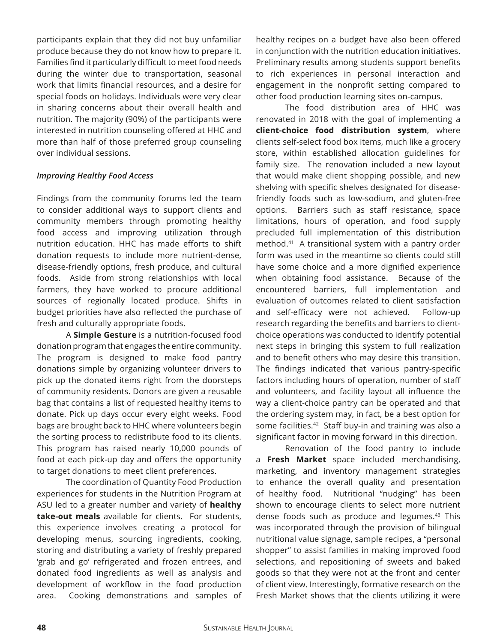participants explain that they did not buy unfamiliar produce because they do not know how to prepare it. Families find it particularly difficult to meet food needs during the winter due to transportation, seasonal work that limits fnancial resources, and a desire for special foods on holidays. Individuals were very clear in sharing concerns about their overall health and nutrition. The majority (90%) of the participants were interested in nutrition counseling ofered at HHC and more than half of those preferred group counseling over individual sessions.

#### *Improving Healthy Food Access*

Findings from the community forums led the team to consider additional ways to support clients and community members through promoting healthy food access and improving utilization through nutrition education. HHC has made efforts to shift donation requests to include more nutrient-dense, disease-friendly options, fresh produce, and cultural foods. Aside from strong relationships with local farmers, they have worked to procure additional sources of regionally located produce. Shifts in budget priorities have also refected the purchase of fresh and culturally appropriate foods.

A **Simple Gesture** is a nutrition-focused food donation program that engages the entire community. The program is designed to make food pantry donations simple by organizing volunteer drivers to pick up the donated items right from the doorsteps of community residents. Donors are given a reusable bag that contains a list of requested healthy items to donate. Pick up days occur every eight weeks. Food bags are brought back to HHC where volunteers begin the sorting process to redistribute food to its clients. This program has raised nearly 10,000 pounds of food at each pick-up day and offers the opportunity to target donations to meet client preferences.

The coordination of Quantity Food Production experiences for students in the Nutrition Program at ASU led to a greater number and variety of **healthy take-out meals** available for clients. For students, this experience involves creating a protocol for developing menus, sourcing ingredients, cooking, storing and distributing a variety of freshly prepared 'grab and go' refrigerated and frozen entrees, and donated food ingredients as well as analysis and development of workflow in the food production area. Cooking demonstrations and samples of

healthy recipes on a budget have also been offered in conjunction with the nutrition education initiatives. Preliminary results among students support benefits to rich experiences in personal interaction and engagement in the nonprofit setting compared to other food production learning sites on-campus.

The food distribution area of HHC was renovated in 2018 with the goal of implementing a **client-choice food distribution system**, where clients self-select food box items, much like a grocery store, within established allocation guidelines for family size. The renovation included a new layout that would make client shopping possible, and new shelving with specific shelves designated for diseasefriendly foods such as low-sodium, and gluten-free options. Barriers such as staff resistance, space limitations, hours of operation, and food supply precluded full implementation of this distribution method.41 A transitional system with a pantry order form was used in the meantime so clients could still have some choice and a more dignifed experience when obtaining food assistance. Because of the encountered barriers, full implementation and evaluation of outcomes related to client satisfaction and self-efficacy were not achieved. Follow-up research regarding the benefits and barriers to clientchoice operations was conducted to identify potential next steps in bringing this system to full realization and to benefit others who may desire this transition. The findings indicated that various pantry-specific factors including hours of operation, number of staf and volunteers, and facility layout all infuence the way a client-choice pantry can be operated and that the ordering system may, in fact, be a best option for some facilities.<sup>42</sup> Staff buy-in and training was also a signifcant factor in moving forward in this direction.

Renovation of the food pantry to include a **Fresh Market** space included merchandising, marketing, and inventory management strategies to enhance the overall quality and presentation of healthy food. Nutritional "nudging" has been shown to encourage clients to select more nutrient dense foods such as produce and legumes.<sup>43</sup> This was incorporated through the provision of bilingual nutritional value signage, sample recipes, a "personal shopper" to assist families in making improved food selections, and repositioning of sweets and baked goods so that they were not at the front and center of client view. Interestingly, formative research on the Fresh Market shows that the clients utilizing it were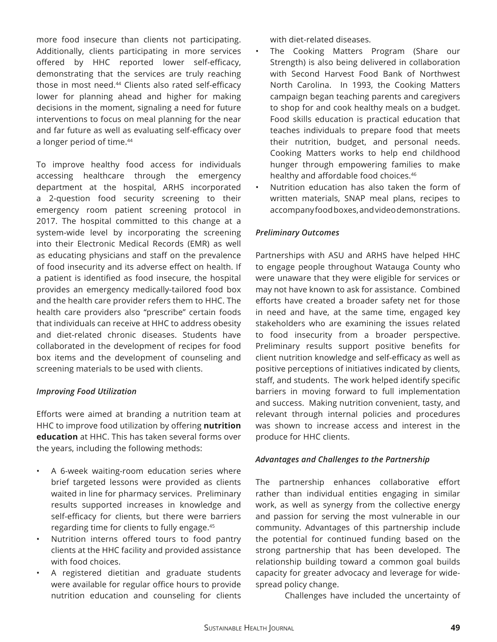more food insecure than clients not participating. Additionally, clients participating in more services offered by HHC reported lower self-efficacy, demonstrating that the services are truly reaching those in most need.<sup>44</sup> Clients also rated self-efficacy lower for planning ahead and higher for making decisions in the moment, signaling a need for future interventions to focus on meal planning for the near and far future as well as evaluating self-efficacy over a longer period of time.<sup>44</sup>

To improve healthy food access for individuals accessing healthcare through the emergency department at the hospital, ARHS incorporated a 2-question food security screening to their emergency room patient screening protocol in 2017. The hospital committed to this change at a system-wide level by incorporating the screening into their Electronic Medical Records (EMR) as well as educating physicians and staff on the prevalence of food insecurity and its adverse effect on health. If a patient is identifed as food insecure, the hospital provides an emergency medically-tailored food box and the health care provider refers them to HHC. The health care providers also "prescribe" certain foods that individuals can receive at HHC to address obesity and diet-related chronic diseases. Students have collaborated in the development of recipes for food box items and the development of counseling and screening materials to be used with clients.

#### *Improving Food Utilization*

Eforts were aimed at branding a nutrition team at HHC to improve food utilization by ofering **nutrition education** at HHC. This has taken several forms over the years, including the following methods:

- A 6-week waiting-room education series where brief targeted lessons were provided as clients waited in line for pharmacy services. Preliminary results supported increases in knowledge and self-efficacy for clients, but there were barriers regarding time for clients to fully engage.45
- Nutrition interns offered tours to food pantry clients at the HHC facility and provided assistance with food choices.
- A registered dietitian and graduate students were available for regular office hours to provide nutrition education and counseling for clients

with diet-related diseases.

- The Cooking Matters Program (Share our Strength) is also being delivered in collaboration with Second Harvest Food Bank of Northwest North Carolina. In 1993, the Cooking Matters campaign began teaching parents and caregivers to shop for and cook healthy meals on a budget. Food skills education is practical education that teaches individuals to prepare food that meets their nutrition, budget, and personal needs. Cooking Matters works to help end childhood hunger through empowering families to make healthy and affordable food choices.<sup>46</sup>
- Nutrition education has also taken the form of written materials, SNAP meal plans, recipes to accompany food boxes, and video demonstrations.

#### *Preliminary Outcomes*

Partnerships with ASU and ARHS have helped HHC to engage people throughout Watauga County who were unaware that they were eligible for services or may not have known to ask for assistance. Combined eforts have created a broader safety net for those in need and have, at the same time, engaged key stakeholders who are examining the issues related to food insecurity from a broader perspective. Preliminary results support positive benefits for client nutrition knowledge and self-efficacy as well as positive perceptions of initiatives indicated by clients, staff, and students. The work helped identify specific barriers in moving forward to full implementation and success. Making nutrition convenient, tasty, and relevant through internal policies and procedures was shown to increase access and interest in the produce for HHC clients.

#### *Advantages and Challenges to the Partnership*

The partnership enhances collaborative effort rather than individual entities engaging in similar work, as well as synergy from the collective energy and passion for serving the most vulnerable in our community. Advantages of this partnership include the potential for continued funding based on the strong partnership that has been developed. The relationship building toward a common goal builds capacity for greater advocacy and leverage for widespread policy change.

Challenges have included the uncertainty of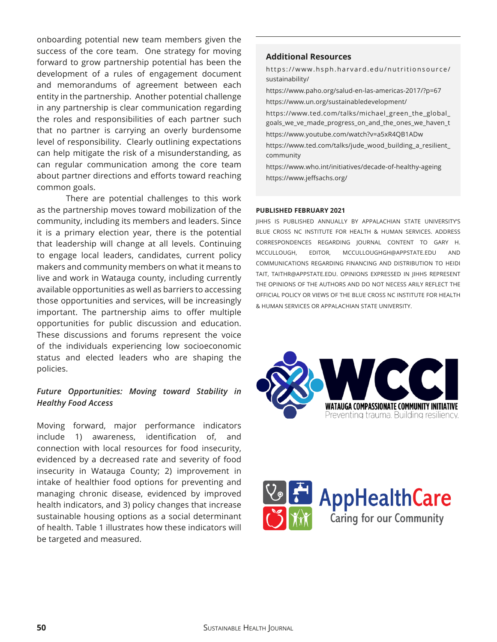onboarding potential new team members given the success of the core team. One strategy for moving forward to grow partnership potential has been the development of a rules of engagement document and memorandums of agreement between each entity in the partnership. Another potential challenge in any partnership is clear communication regarding the roles and responsibilities of each partner such that no partner is carrying an overly burdensome level of responsibility. Clearly outlining expectations can help mitigate the risk of a misunderstanding, as can regular communication among the core team about partner directions and efforts toward reaching common goals.

There are potential challenges to this work as the partnership moves toward mobilization of the community, including its members and leaders. Since it is a primary election year, there is the potential that leadership will change at all levels. Continuing to engage local leaders, candidates, current policy makers and community members on what it means to live and work in Watauga county, including currently available opportunities as well as barriers to accessing those opportunities and services, will be increasingly important. The partnership aims to offer multiple opportunities for public discussion and education. These discussions and forums represent the voice of the individuals experiencing low socioeconomic status and elected leaders who are shaping the policies.

#### *Future Opportunities: Moving toward Stability in Healthy Food Access*

Moving forward, major performance indicators include 1) awareness, identification of, and connection with local resources for food insecurity, evidenced by a decreased rate and severity of food insecurity in Watauga County; 2) improvement in intake of healthier food options for preventing and managing chronic disease, evidenced by improved health indicators, and 3) policy changes that increase sustainable housing options as a social determinant of health. Table 1 illustrates how these indicators will be targeted and measured.

#### **Additional Resources**

https://www.hsph.harvard.edu/nutritionsource/ sustainability/

https://www.paho.org/salud-en-las-americas-2017/?p=67 https://www.un.org/sustainabledevelopment/ https://www.ted.com/talks/michael\_green\_the\_global\_ goals\_we\_ve\_made\_progress\_on\_and\_the\_ones\_we\_haven\_t https://www.youtube.com/watch?v=a5xR4QB1ADw https://www.ted.com/talks/jude\_wood\_building\_a\_resilient\_ community

https://www.who.int/initiatives/decade-of-healthy-ageing https://www.jeffsachs.org/

#### **PUBLISHED FEBRUARY 2021**

JIHHS IS PUBLISHED ANNUALLY BY APPALACHIAN STATE UNIVERSITY'S BLUE CROSS NC INSTITUTE FOR HEALTH & HUMAN SERVICES. ADDRESS CORRESPONDENCES REGARDING JOURNAL CONTENT TO GARY H. MCCULLOUGH, EDITOR, MCCULLOUGHGH@APPSTATE.EDU AND COMMUNICATIONS REGARDING FINANCING AND DISTRIBUTION TO HEIDI TAIT, TAITHR@APPSTATE.EDU. OPINIONS EXPRESSED IN JIHHS REPRESENT THE OPINIONS OF THE AUTHORS AND DO NOT NECESS ARILY REFLECT THE OFFICIAL POLICY OR VIEWS OF THE BLUE CROSS NC INSTITUTE FOR HEALTH & HUMAN SERVICES OR APPALACHIAN STATE UNIVERSITY.



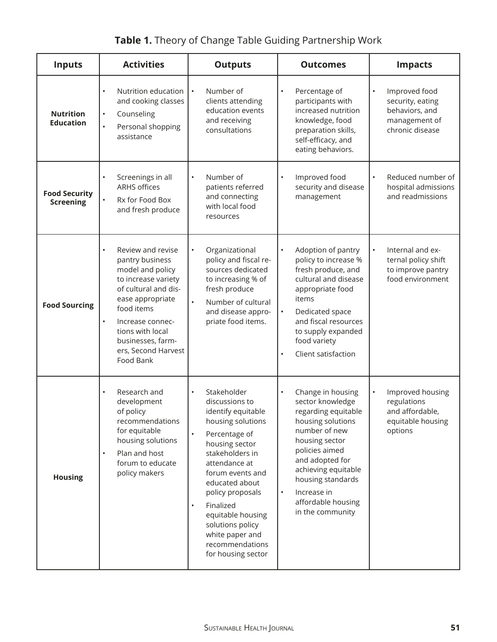| <b>Inputs</b>                            | <b>Activities</b>                                                                                                                                                                                                                                       | <b>Outputs</b>                                                                                                                                                                                                                                                                                                                                        | <b>Outcomes</b>                                                                                                                                                                                                                                                                          | <b>Impacts</b>                                                                                       |
|------------------------------------------|---------------------------------------------------------------------------------------------------------------------------------------------------------------------------------------------------------------------------------------------------------|-------------------------------------------------------------------------------------------------------------------------------------------------------------------------------------------------------------------------------------------------------------------------------------------------------------------------------------------------------|------------------------------------------------------------------------------------------------------------------------------------------------------------------------------------------------------------------------------------------------------------------------------------------|------------------------------------------------------------------------------------------------------|
| <b>Nutrition</b><br><b>Education</b>     | Nutrition education<br>and cooking classes<br>Counseling<br>$\bullet$<br>$\bullet$<br>Personal shopping<br>assistance                                                                                                                                   | Number of<br>clients attending<br>education events<br>and receiving<br>consultations                                                                                                                                                                                                                                                                  | Percentage of<br>$\bullet$<br>participants with<br>increased nutrition<br>knowledge, food<br>preparation skills,<br>self-efficacy, and<br>eating behaviors.                                                                                                                              | Improved food<br>$\bullet$<br>security, eating<br>behaviors, and<br>management of<br>chronic disease |
| <b>Food Security</b><br><b>Screening</b> | Screenings in all<br><b>ARHS offices</b><br>Rx for Food Box<br>$\bullet$<br>and fresh produce                                                                                                                                                           | Number of<br>$\bullet$<br>patients referred<br>and connecting<br>with local food<br>resources                                                                                                                                                                                                                                                         | Improved food<br>$\bullet$<br>security and disease<br>management                                                                                                                                                                                                                         | Reduced number of<br>$\bullet$<br>hospital admissions<br>and readmissions                            |
| <b>Food Sourcing</b>                     | Review and revise<br>pantry business<br>model and policy<br>to increase variety<br>of cultural and dis-<br>ease appropriate<br>food items<br>$\bullet$<br>Increase connec-<br>tions with local<br>businesses, farm-<br>ers, Second Harvest<br>Food Bank | Organizational<br>$\bullet$<br>policy and fiscal re-<br>sources dedicated<br>to increasing % of<br>fresh produce<br>Number of cultural<br>$\bullet$<br>and disease appro-<br>priate food items.                                                                                                                                                       | Adoption of pantry<br>$\bullet$<br>policy to increase %<br>fresh produce, and<br>cultural and disease<br>appropriate food<br>items<br>Dedicated space<br>$\bullet$<br>and fiscal resources<br>to supply expanded<br>food variety<br>Client satisfaction<br>$\bullet$                     | Internal and ex-<br>$\bullet$<br>ternal policy shift<br>to improve pantry<br>food environment        |
| <b>Housing</b>                           | Research and<br>development<br>of policy<br>recommendations<br>for equitable<br>housing solutions<br>Plan and host<br>forum to educate<br>policy makers                                                                                                 | Stakeholder<br>$\bullet$<br>discussions to<br>identify equitable<br>housing solutions<br>Percentage of<br>housing sector<br>stakeholders in<br>attendance at<br>forum events and<br>educated about<br>policy proposals<br>Finalized<br>$\bullet$<br>equitable housing<br>solutions policy<br>white paper and<br>recommendations<br>for housing sector | Change in housing<br>$\bullet$<br>sector knowledge<br>regarding equitable<br>housing solutions<br>number of new<br>housing sector<br>policies aimed<br>and adopted for<br>achieving equitable<br>housing standards<br>Increase in<br>$\bullet$<br>affordable housing<br>in the community | Improved housing<br>$\bullet$<br>regulations<br>and affordable,<br>equitable housing<br>options      |

# **Table 1.** Theory of Change Table Guiding Partnership Work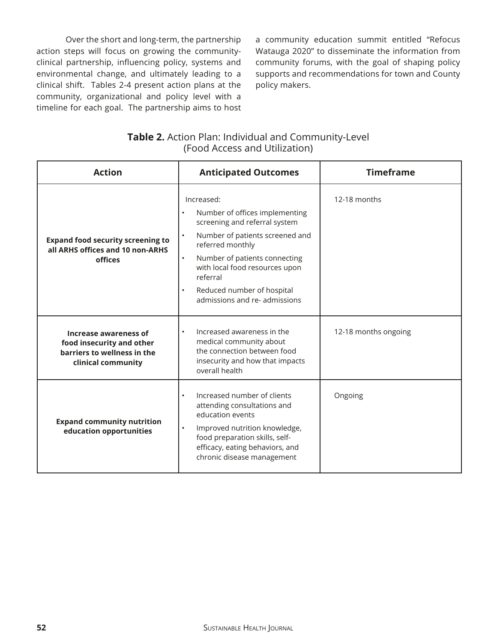Over the short and long-term, the partnership action steps will focus on growing the communityclinical partnership, infuencing policy, systems and environmental change, and ultimately leading to a clinical shift. Tables 2-4 present action plans at the community, organizational and policy level with a timeline for each goal. The partnership aims to host a community education summit entitled "Refocus Watauga 2020" to disseminate the information from community forums, with the goal of shaping policy supports and recommendations for town and County policy makers.

| <b>Table 2.</b> Action Plan: Individual and Community-Level |
|-------------------------------------------------------------|
| (Food Access and Utilization)                               |

| <b>Action</b>                                                                                                                                                                                                                                                                                                | <b>Anticipated Outcomes</b>                                                                                                                                                                                                                                                                                               | <b>Timeframe</b>     |
|--------------------------------------------------------------------------------------------------------------------------------------------------------------------------------------------------------------------------------------------------------------------------------------------------------------|---------------------------------------------------------------------------------------------------------------------------------------------------------------------------------------------------------------------------------------------------------------------------------------------------------------------------|----------------------|
| <b>Expand food security screening to</b><br>all ARHS offices and 10 non-ARHS<br>offices                                                                                                                                                                                                                      | Increased:<br>Number of offices implementing<br>$\bullet$<br>screening and referral system<br>Number of patients screened and<br>referred monthly<br>Number of patients connecting<br>$\bullet$<br>with local food resources upon<br>referral<br>Reduced number of hospital<br>$\bullet$<br>admissions and re- admissions | 12-18 months         |
| Increased awareness in the<br>$\bullet$<br>Increase awareness of<br>medical community about<br>food insecurity and other<br>the connection between food<br>barriers to wellness in the<br>insecurity and how that impacts<br>clinical community<br>overall health                                            |                                                                                                                                                                                                                                                                                                                           | 12-18 months ongoing |
| Increased number of clients<br>$\bullet$<br>attending consultations and<br>education events<br><b>Expand community nutrition</b><br>Improved nutrition knowledge,<br>$\bullet$<br>education opportunities<br>food preparation skills, self-<br>efficacy, eating behaviors, and<br>chronic disease management |                                                                                                                                                                                                                                                                                                                           | Ongoing              |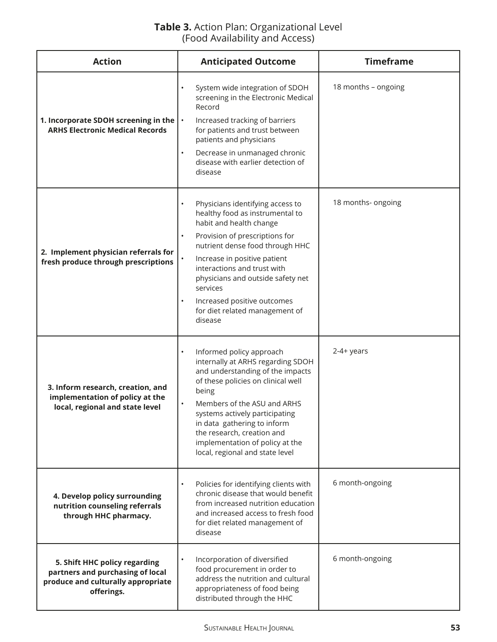# **Table 3.** Action Plan: Organizational Level (Food Availability and Access)

| <b>Action</b>                                                                                                                                                                                                                                                                                                 | <b>Anticipated Outcome</b>                                                                                                                                                                                                                                                                                                                                                                             | <b>Timeframe</b>    |
|---------------------------------------------------------------------------------------------------------------------------------------------------------------------------------------------------------------------------------------------------------------------------------------------------------------|--------------------------------------------------------------------------------------------------------------------------------------------------------------------------------------------------------------------------------------------------------------------------------------------------------------------------------------------------------------------------------------------------------|---------------------|
| 1. Incorporate SDOH screening in the<br><b>ARHS Electronic Medical Records</b>                                                                                                                                                                                                                                | System wide integration of SDOH<br>screening in the Electronic Medical<br>Record<br>Increased tracking of barriers<br>$\bullet$<br>for patients and trust between<br>patients and physicians<br>Decrease in unmanaged chronic<br>$\bullet$<br>disease with earlier detection of<br>disease                                                                                                             | 18 months - ongoing |
| 2. Implement physician referrals for<br>fresh produce through prescriptions                                                                                                                                                                                                                                   | Physicians identifying access to<br>$\bullet$<br>healthy food as instrumental to<br>habit and health change<br>Provision of prescriptions for<br>$\bullet$<br>nutrient dense food through HHC<br>Increase in positive patient<br>interactions and trust with<br>physicians and outside safety net<br>services<br>Increased positive outcomes<br>$\bullet$<br>for diet related management of<br>disease | 18 months- ongoing  |
| 3. Inform research, creation, and<br>implementation of policy at the<br>local, regional and state level                                                                                                                                                                                                       | Informed policy approach<br>$\bullet$<br>internally at ARHS regarding SDOH<br>and understanding of the impacts<br>of these policies on clinical well<br>being<br>Members of the ASU and ARHS<br>systems actively participating<br>in data gathering to inform<br>the research, creation and<br>implementation of policy at the<br>local, regional and state level                                      | $2-4+ years$        |
| Policies for identifying clients with<br>$\bullet$<br>chronic disease that would benefit<br>4. Develop policy surrounding<br>from increased nutrition education<br>nutrition counseling referrals<br>and increased access to fresh food<br>through HHC pharmacy.<br>for diet related management of<br>disease |                                                                                                                                                                                                                                                                                                                                                                                                        | 6 month-ongoing     |
| Incorporation of diversified<br>5. Shift HHC policy regarding<br>food procurement in order to<br>partners and purchasing of local<br>address the nutrition and cultural<br>produce and culturally appropriate<br>appropriateness of food being<br>offerings.<br>distributed through the HHC                   |                                                                                                                                                                                                                                                                                                                                                                                                        | 6 month-ongoing     |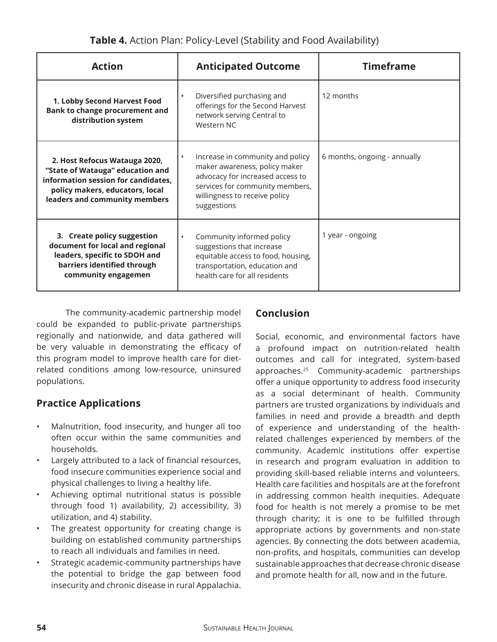| <b>Action</b>                                                                                                                                                                | <b>Anticipated Outcome</b>                                                                                                                                                                            | <b>Timeframe</b>             |
|------------------------------------------------------------------------------------------------------------------------------------------------------------------------------|-------------------------------------------------------------------------------------------------------------------------------------------------------------------------------------------------------|------------------------------|
| 1. Lobby Second Harvest Food<br><b>Bank to change procurement and</b><br>distribution system                                                                                 | Diversified purchasing and<br>$\bullet$<br>offerings for the Second Harvest<br>network serving Central to<br>Western NC                                                                               | 12 months                    |
| 2. Host Refocus Watauga 2020,<br>"State of Watauga" education and<br>information session for candidates,<br>policy makers, educators, local<br>leaders and community members | Increase in community and policy<br>$\bullet$<br>maker awareness, policy maker<br>advocacy for increased access to<br>services for community members,<br>willingness to receive policy<br>suggestions | 6 months, ongoing - annually |
| 3. Create policy suggestion<br>document for local and regional<br>leaders, specific to SDOH and<br>barriers identified through<br>community engagemen                        | Community informed policy<br>$\bullet$<br>suggestions that increase<br>equitable access to food, housing,<br>transportation, education and<br>health care for all residents                           | 1 year - ongoing             |

The community-academic partnership model could be expanded to public-private partnerships regionally and nationwide, and data gathered will be very valuable in demonstrating the efficacy of this program model to improve health care for dietrelated conditions among low-resource, uninsured populations.

# **Practice Applications**

- Malnutrition, food insecurity, and hunger all too often occur within the same communities and households.
- Largely attributed to a lack of financial resources, food insecure communities experience social and physical challenges to living a healthy life.
- Achieving optimal nutritional status is possible through food 1) availability, 2) accessibility, 3) utilization, and 4) stability.
- The greatest opportunity for creating change is building on established community partnerships to reach all individuals and families in need.
- Strategic academic-community partnerships have the potential to bridge the gap between food insecurity and chronic disease in rural Appalachia.

# **Conclusion**

Social, economic, and environmental factors have a profound impact on nutrition-related health outcomes and call for integrated, system-based approaches.25 Community-academic partnerships offer a unique opportunity to address food insecurity as a social determinant of health. Community partners are trusted organizations by individuals and families in need and provide a breadth and depth of experience and understanding of the healthrelated challenges experienced by members of the community. Academic institutions offer expertise in research and program evaluation in addition to providing skill-based reliable interns and volunteers. Health care facilities and hospitals are at the forefront in addressing common health inequities. Adequate food for health is not merely a promise to be met through charity; it is one to be fulfilled through appropriate actions by governments and non-state agencies. By connecting the dots between academia, non-profts, and hospitals, communities can develop sustainable approaches that decrease chronic disease and promote health for all, now and in the future.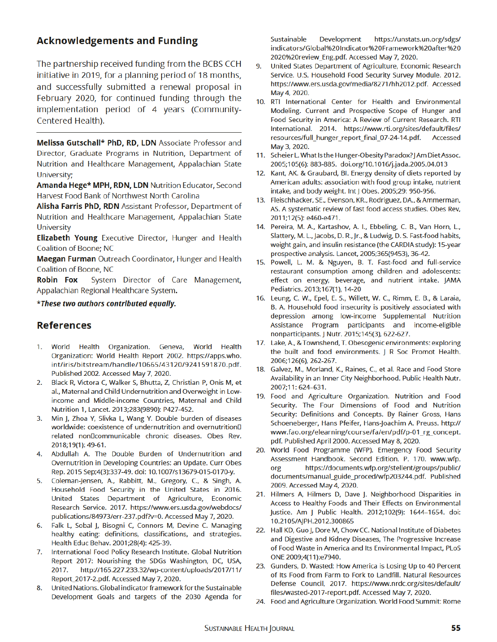# **Acknowledgements and Funding**

The partnership received funding from the BCBS CCH initiative in 2019, for a planning period of 18 months, and successfully submitted a renewal proposal in February 2020, for continued funding through the implementation period of 4 years (Community-Centered Health).

Melissa Gutschall\* PhD, RD, LDN Associate Professor and Director, Graduate Programs in Nutrition, Department of Nutrition and Healthcare Management, Appalachian State University;

Amanda Hege\* MPH, RDN, LDN Nutrition Educator, Second Harvest Food Bank of Northwest North Carolina

Alisha Farris PhD, RDN Assistant Professor, Department of Nutrition and Healthcare Management, Appalachian State **University** 

Elizabeth Young Executive Director, Hunger and Health Coalition of Boone; NC

Maegan Furman Outreach Coordinator, Hunger and Health Coalition of Boone, NC

Robin Fox System Director of Care Management, Appalachian Regional Healthcare System.

#### \*These two authors contributed equally.

#### **References**

- 1. World Health Organization. Geneva, World Health Organization: World Health Report 2002. https://apps.who. int/iris/bitstream/handle/10665/43120/9241591870.pdf. Published 2002. Accessed May 7, 2020.
- 2. Black R, Victora C, Walker S, Bhutta, Z, Christian P, Onis M, et al., Maternal and Child Undernutrition and Overweight in Lowincome and Middle-income Countries, Maternal and Child Nutrition 1, Lancet. 2013;283(9890): P427-452.
- 3. Min J, Zhoa Y, Slivka L, Wang Y. Double burden of diseases worldwide: coexistence of undernutrition and overnutrition<sup>[]</sup> related non Dcommunicable chronic diseases. Obes Rev. 2018;19(1): 49-61.
- 4. Abdullah A. The Double Burden of Undernutrition and Overnutrition in Developing Countries: an Update. Curr Obes Rep. 2015 Sep;4(3):337-49. doi: 10.1007/s13679-015-0170-y.
- 5. Coleman-Jensen, A., Rabbitt, M., Gregory, C., & Singh, A. Household Food Security in the United States in 2016. United States Department of Agriculture, Economic Research Service. 2017. https://www.ers.usda.gov/webdocs/ publications/84973/err-237.pdf?v=0. Accessed May 7, 2020.
- 6. Falk L, Sobal J, Bisogni C, Connors M, Devine C. Managing healthy eating: definitions, classifications, and strategies. Health Educ Behav. 2001;28(4): 425-39.
- 7. International Food Policy Research Institute. Global Nutrition Report 2017: Nourishing the SDGs Washington, DC, USA, 2017. http://165.227.233.32/wp-content/uploads/2017/11/ Report 2017-2.pdf. Accessed May 7, 2020.
- 8. United Nations. Global indicator framework for the Sustainable Development Goals and targets of the 2030 Agenda for

Sustainable Development https://unstats.un.org/sdgs/ indicators/Global%20Indicator%20Framework%20after%20 2020%20 review\_Eng.pdf. Accessed May 7, 2020.

- 9. United States Department of Agriculture, Economic Research Service. U.S. Household Food Security Survey Module. 2012. https://www.ers.usda.gov/media/8271/hh2012.pdf. Accessed May 4, 2020.
- 10. RTI International Center for Health and Environmental Modeling. Current and Prospective Scope of Hunger and Food Security in America: A Review of Current Research. RTI International. 2014. https://www.rti.org/sites/default/files/ resources/full\_hunger\_report\_final\_07-24-14.pdf. Accessed May 3, 2020.
- 11. Scheier L. What Is the Hunger-Obesity Paradox? J Am Diet Assoc. 2005;105(6): 883-885. doi.org/10.1016/j.jada.2005.04.013
- 12. Kant, AK. & Graubard, BI. Energy density of diets reported by American adults: association with food group intake, nutrient intake, and body weight. Int J Obes. 2005;29: 950-956.
- 13. Fleischhacker, SE., Evenson, KR., Rodriguez, DA., & Ammerman, AS. A systematic review of fast food access studies. Obes Rev, 2011;12(5): e460-e471.
- 14. Pereira, M. A., Kartashov, A. I., Ebbeling, C. B., Van Horn, L., Slattery, M. L., Jacobs, D. R., Jr., & Ludwig, D. S. Fast-food habits, weight gain, and insulin resistance (the CARDIA study): 15-year prospective analysis. Lancet, 2005;365(9453), 36-42.
- 15. Powell, L. M. & Nguyen, B. T. Fast-food and full-service restaurant consumption among children and adolescents: effect on energy, beverage, and nutrient intake. JAMA Pediatrics. 2013;167(1), 14-20
- 16. Leung, C. W., Epel, E. S., Willett, W. C., Rimm, E. B., & Laraia, B. A. Household food insecurity is positively associated with depression among low-income Supplemental Nutrition Assistance Program participants and income-eligible non participants. J Nutr. 2015; 145(3), 622-627.
- 17. Lake, A., & Townshend, T. Obesogenic environments: exploring the built and food environments. J R Soc Promot Health. 2006;126(6), 262-267.
- 18. Galvez, M., Morland, K., Raines, C., et al. Race and Food Store Availability in an Inner City Neighborhood. Public Health Nutr. 2007;11: 624-631.
- 19. Food and Agriculture Organization. Nutrition and Food Security. The Four Dimensions of Food and Nutrition Security: Definitions and Concepts. By Rainer Gross, Hans Schoeneberger, Hans Pfeifer, Hans-Joachim A. Preuss. http:// www.fao.org/elearning/course/fa/en/pdf/p-01\_rg\_concept. pdf. Published April 2000. Accessed May 8, 2020.
- 20. World Food Programme (WFP). Emergency Food Security Assessment Handbook. Second Edition. P. 170. www.wfp. org https://documents.wfp.org/stellent/groups/public/ documents/manual\_guide\_proced/wfp203244.pdf. Published 2009. Accessed May 4, 2020.
- 21. Hilmers A, Hilmers D, Dave J. Neighborhood Disparities in Access to Healthy Foods and Their Effects on Environmental Justice. Am J Public Health. 2012;102(9): 1644-1654. doi: 10.2105/AJPH.2012.300865
- 22. Hall KD, Guo J, Dore M, Chow CC. National Institute of Diabetes and Digestive and Kidney Diseases, The Progressive Increase of Food Waste in America and Its Environmental Impact, PLoS ONE 2009;4(11):e7940.
- 23. Gunders, D. Wasted: How America is Losing Up to 40 Percent of Its Food from Farm to Fork to Landfill. Natural Resources Defense Council, 2017. https://www.nrdc.org/sites/default/ files/wasted-2017-report.pdf. Accessed May 7, 2020.
- 24. Food and Agriculture Organization. World Food Summit: Rome